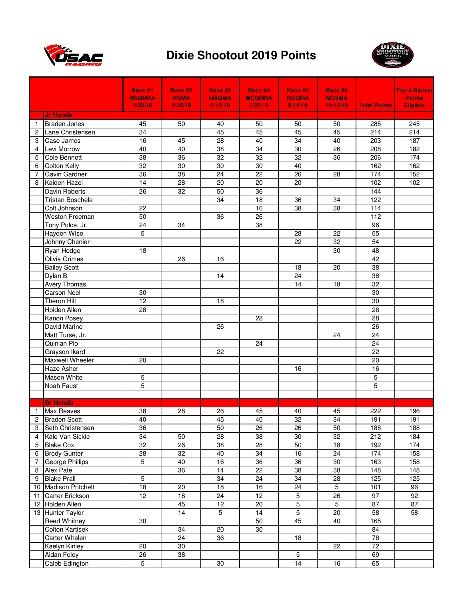



|                     |                                         | Race #1<br><b>NSQMRA</b> | Race #2<br><b>HQMA</b> | Race #3<br><b>MAQMA</b> | Race #4<br><b>MCQMRA</b> | Race #5<br><b>NGQMA</b> | Race #6<br><b>NCQMA</b> |                                    | Top 5 Races/<br><b>Points</b> |
|---------------------|-----------------------------------------|--------------------------|------------------------|-------------------------|--------------------------|-------------------------|-------------------------|------------------------------------|-------------------------------|
|                     |                                         | 4/20/19                  | 5/26/19                | 6/15/19                 | 7/20/19                  | 9/14/19                 | 10/12/19                | <b>Total Points</b>                | <b>Eligible</b>               |
|                     | <b>Jr Honda</b>                         |                          |                        |                         |                          |                         |                         |                                    |                               |
| 1<br>$\overline{2}$ | <b>Braden Jones</b><br>Lane Christensen | 45<br>$\overline{34}$    | 50                     | 40<br>45                | 50<br>45                 | 50<br>45                | 50<br>45                | 285<br>214                         | 245<br>214                    |
| 3                   | Case James                              | 16                       | 45                     | 28                      | 40                       | 34                      | 40                      | 203                                | 187                           |
|                     | Levi Morrow                             |                          | 40                     | 38                      |                          | $30\,$                  | 26                      | 208                                | 182                           |
| 4                   | <b>Cole Bennett</b>                     | 40                       |                        |                         | 34                       | 32                      |                         |                                    |                               |
| 5                   | <b>Colton Kelly</b>                     | 38<br>$\overline{32}$    | 36<br>$\overline{30}$  | 32<br>$\overline{30}$   | 32<br>30                 | 40                      | 36                      | 206<br>162                         | 174<br>162                    |
| 6<br>7              | Gavin Gardner                           | $\overline{36}$          | $\overline{38}$        | $\overline{24}$         | $\overline{22}$          | 26                      | 28                      | 174                                | 152                           |
| 8                   | Kaiden Hazel                            | 14                       | 28                     | 20                      | 20                       | 20                      |                         | 102                                | 102                           |
|                     | Davin Roberts                           | 26                       | 32                     | 50                      | 36                       |                         |                         | 144                                |                               |
|                     | <b>Tristan Boschele</b>                 |                          |                        | 34                      | 18                       | 36                      | 34                      | 122                                |                               |
|                     | Colt Johnson                            | 22                       |                        |                         | 16                       | $\overline{38}$         | 38                      | 114                                |                               |
|                     | <b>Weston Freeman</b>                   | 50                       |                        | 36                      | 26                       |                         |                         | 112                                |                               |
|                     | Tony Polce, Jr.                         | 24                       | 34                     |                         | 38                       |                         |                         | 96                                 |                               |
|                     | <b>Hayden Wise</b>                      | 5                        |                        |                         |                          | 28                      | 22                      | 55                                 |                               |
|                     |                                         |                          |                        |                         |                          | 22                      | 32                      | 54                                 |                               |
|                     | Johnny Chenier<br>Ryan Hodge            | 18                       |                        |                         |                          |                         | 30                      | 48                                 |                               |
|                     | Olivia Grimes                           |                          | 26                     | 16                      |                          |                         |                         | 42                                 |                               |
|                     | <b>Bailey Scott</b>                     |                          |                        |                         |                          | 18                      | 20                      | $\overline{38}$                    |                               |
|                     |                                         |                          |                        | 14                      |                          | $\overline{24}$         |                         | $\overline{38}$                    |                               |
|                     | Dylan B                                 |                          |                        |                         |                          | 14                      |                         | $\overline{32}$                    |                               |
|                     | Avery Thomas<br><b>Carson Neel</b>      |                          |                        |                         |                          |                         | 18                      | 30                                 |                               |
|                     | <b>Theron Hill</b>                      | 30                       |                        |                         |                          |                         |                         | $\overline{30}$                    |                               |
|                     |                                         | 12                       |                        | 18                      |                          |                         |                         |                                    |                               |
|                     | Holden Allen                            | 28                       |                        |                         |                          |                         |                         | 28                                 |                               |
|                     | Kanon Posey                             |                          |                        |                         | 28                       |                         |                         | 28                                 |                               |
|                     | David Marino                            |                          |                        | 26                      |                          |                         |                         | 26                                 |                               |
|                     | Matt Turse, Jr.                         |                          |                        |                         |                          |                         | 24                      | 24                                 |                               |
|                     | Quinlan Pio                             |                          |                        |                         | 24                       |                         |                         | $\overline{24}$<br>$\overline{22}$ |                               |
|                     | Grayson Ikard                           |                          |                        | 22                      |                          |                         |                         |                                    |                               |
|                     | Maxwell Wheeler                         | 20                       |                        |                         |                          |                         |                         | 20                                 |                               |
|                     | Haze Asher                              |                          |                        |                         |                          | 16                      |                         | 16                                 |                               |
|                     | Mason White                             | 5                        |                        |                         |                          |                         |                         | 5                                  |                               |
|                     | Noah Faust                              | 5                        |                        |                         |                          |                         |                         | 5                                  |                               |
|                     | <b>Sr Honda</b>                         |                          |                        |                         |                          |                         |                         |                                    |                               |
| $\mathbf{1}$        | Max Reaves                              | 38                       | 28                     | 26                      | 45                       | 40                      | 45                      | 222                                | 196                           |
| 2                   | <b>Braden Scott</b>                     | 40                       |                        | 45                      | 40                       | 32                      | 34                      | 191                                | 191                           |
| 3                   | Seth Christensen                        | 36                       |                        | 50                      | 26                       | 26                      | 50                      | 188                                | 188                           |
| 4                   | Kale Van Sickle                         | 34                       | 50                     | 28                      | 38                       | 30                      | 32                      | 212                                | 184                           |
| 5                   | <b>Blake Cox</b>                        | $\overline{32}$          | $\overline{26}$        | $\overline{38}$         | 28                       | 50                      | 18                      | 192                                | 174                           |
| 6                   | <b>Brody Gunter</b>                     | 28                       | 32                     | 40                      | 34                       | 16                      | 24                      | 174                                | 158                           |
| 7                   | George Phillips                         | 5                        | 40                     | 16                      | $\overline{36}$          | $\overline{36}$         | $30\,$                  | 163                                | 158                           |
| 8                   | Alex Pate                               |                          | 36                     | 14                      | 22                       | 38                      | 38                      | 148                                | 148                           |
| 9                   | <b>Blake Prall</b>                      | 5                        |                        | 34                      | $\overline{24}$          | $\overline{34}$         | 28                      | 125                                | 125                           |
| 10                  | <b>Madison Pritchett</b>                | $\overline{18}$          | $\overline{20}$        | $\overline{18}$         | 16                       | $\overline{24}$         | $\overline{5}$          | 101                                | 96                            |
| 11                  | Carter Erickson                         | $\overline{12}$          | 18                     | $\overline{24}$         | 12                       | $\overline{5}$          | $\overline{26}$         | 97                                 | 92                            |
| 12                  | Holden Allen                            |                          | 45                     | 12                      | 20                       | 5                       | 5                       | 87                                 | 87                            |
| 13                  | <b>Hunter Taylor</b>                    |                          | 14                     | 5                       | 14                       | $\overline{5}$          | 20                      | 58                                 | 58                            |
|                     | <b>Reed Whitney</b>                     | 30                       |                        |                         | 50                       | 45                      | 40                      | 165                                |                               |
|                     | <b>Colton Kartisek</b>                  |                          | 34                     | 20                      | 30                       |                         |                         | 84                                 |                               |
|                     | Carter Whalen                           |                          | 24                     | 36                      |                          | 18                      |                         | $\overline{78}$                    |                               |
|                     | Kaelyn Kinley                           | 20                       | 30                     |                         |                          |                         | 22                      | 72                                 |                               |
|                     | Aidan Foley                             | $\overline{26}$          | $\overline{38}$        |                         |                          | $\overline{5}$          |                         | 69                                 |                               |
|                     | Caleb Edington                          | $\overline{5}$           |                        | 30                      |                          | $\overline{14}$         | 16                      | 65                                 |                               |
|                     |                                         |                          |                        |                         |                          |                         |                         |                                    |                               |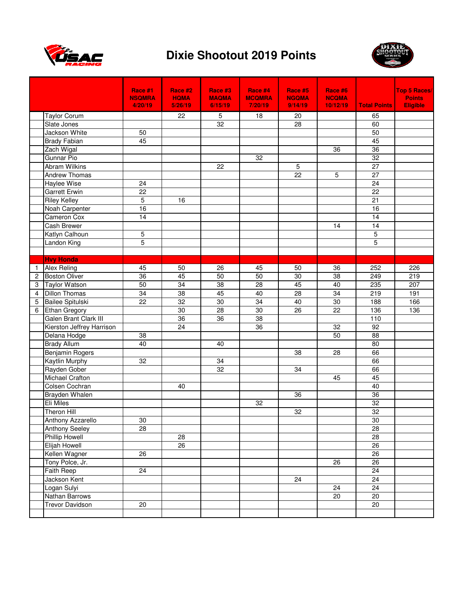



|                |                           | Race #1         | Race #2         | Race #3         | Race #4         | Race #5         | Race #6         |                     | <b>Top 5 Races/</b> |
|----------------|---------------------------|-----------------|-----------------|-----------------|-----------------|-----------------|-----------------|---------------------|---------------------|
|                |                           | <b>NSQMRA</b>   | <b>HQMA</b>     | <b>MAQMA</b>    | <b>MCQMRA</b>   | <b>NGQMA</b>    | <b>NCQMA</b>    |                     | <b>Points</b>       |
|                |                           | 4/20/19         | 5/26/19         | 6/15/19         | 7/20/19         | 9/14/19         | 10/12/19        | <b>Total Points</b> | <b>Eligible</b>     |
|                | <b>Taylor Corum</b>       |                 | 22              | $\sqrt{5}$      | 18              | 20              |                 | 65                  |                     |
|                | Slate Jones               |                 |                 | 32              |                 | $\overline{28}$ |                 | 60                  |                     |
|                | Jackson White             | $\overline{50}$ |                 |                 |                 |                 |                 | 50                  |                     |
|                | <b>Brady Fabian</b>       | 45              |                 |                 |                 |                 |                 | 45                  |                     |
|                | Zach Wigal                |                 |                 |                 |                 |                 | 36              | 36                  |                     |
|                | <b>Gunnar Pio</b>         |                 |                 |                 | 32              |                 |                 | $\overline{32}$     |                     |
|                | <b>Abram Wilkins</b>      |                 |                 | 22              |                 | 5               |                 | 27                  |                     |
|                | Andrew Thomas             |                 |                 |                 |                 | $\overline{22}$ | 5               | $\overline{27}$     |                     |
|                | Haylee Wise               | 24              |                 |                 |                 |                 |                 | $\overline{24}$     |                     |
|                | <b>Garrett Erwin</b>      | $\overline{22}$ |                 |                 |                 |                 |                 | $\overline{22}$     |                     |
|                | <b>Riley Kelley</b>       | $\overline{5}$  | 16              |                 |                 |                 |                 | $\overline{21}$     |                     |
|                | Noah Carpenter            | 16              |                 |                 |                 |                 |                 | 16                  |                     |
|                | Cameron Cox               | 14              |                 |                 |                 |                 |                 | 14                  |                     |
|                | Cash Brewer               |                 |                 |                 |                 |                 | 14              | 14                  |                     |
|                | Katlyn Calhoun            | 5               |                 |                 |                 |                 |                 | 5                   |                     |
|                | <b>Landon King</b>        | 5               |                 |                 |                 |                 |                 | $\overline{5}$      |                     |
|                |                           |                 |                 |                 |                 |                 |                 |                     |                     |
|                | <b>Hvy Honda</b>          |                 |                 |                 |                 |                 |                 |                     |                     |
| 1              | <b>Alex Reling</b>        | 45              | 50              | 26              | 45              | 50              | 36              | 252                 | 226                 |
| $\overline{c}$ | <b>Boston Oliver</b>      | $\overline{36}$ | 45              | 50              | 50              | 30              | $\overline{38}$ | 249                 | 219                 |
| 3              | <b>Taylor Watson</b>      | 50              | 34              | 38              | 28              | 45              | 40              | 235                 | 207                 |
| 4              | <b>Dillon Thomas</b>      | 34              | 38              | 45              | 40              | 28              | 34              | 219                 | 191                 |
| 5              | <b>Bailee Spitulski</b>   | $\overline{22}$ | $\overline{32}$ | 30              | $\overline{34}$ | 40              | $\overline{30}$ | 188                 | 166                 |
| 6              | <b>Ethan Gregory</b>      |                 | $\overline{30}$ | 28              | $\overline{30}$ | $\overline{26}$ | $\overline{22}$ | $\frac{136}{ }$     | 136                 |
|                | Galen Brant Clark III     |                 | 36              | $\overline{36}$ | 38              |                 |                 | 110                 |                     |
|                | Kierston Jeffrey Harrison |                 | 24              |                 | 36              |                 | 32              | 92                  |                     |
|                | Delana Hodge              | $\overline{38}$ |                 |                 |                 |                 | 50              | $\overline{88}$     |                     |
|                | <b>Brady Allum</b>        | 40              |                 | 40              |                 |                 |                 | $\overline{80}$     |                     |
|                | <b>Benjamin Rogers</b>    |                 |                 |                 |                 | 38              | 28              | 66                  |                     |
|                | Kaytlin Murphy            | 32              |                 | 34              |                 |                 |                 | 66                  |                     |
|                | Rayden Gober              |                 |                 | 32              |                 | 34              |                 | 66                  |                     |
|                | Michael Crafton           |                 |                 |                 |                 |                 | 45              | 45                  |                     |
|                | Colsen Cochran            |                 | 40              |                 |                 |                 |                 | 40                  |                     |
|                | Brayden Whalen            |                 |                 |                 |                 | 36              |                 | 36                  |                     |
|                | Eli Miles                 |                 |                 |                 | 32              |                 |                 | 32                  |                     |
|                | <b>Theron Hill</b>        |                 |                 |                 |                 | 32              |                 | 32                  |                     |
|                | Anthony Azzarello         | $30\,$          |                 |                 |                 |                 |                 | $30\,$              |                     |
|                | Anthony Seeley            | 28              |                 |                 |                 |                 |                 | 28                  |                     |
|                | <b>Phillip Howell</b>     |                 | 28              |                 |                 |                 |                 | 28                  |                     |
|                | Elijah Howell             |                 | $\overline{26}$ |                 |                 |                 |                 | $\overline{26}$     |                     |
|                | Kellen Wagner             | 26              |                 |                 |                 |                 |                 | 26                  |                     |
|                | Tony Polce, Jr.           |                 |                 |                 |                 |                 | 26              | 26                  |                     |
|                | Faith Reep                | 24              |                 |                 |                 |                 |                 | 24                  |                     |
|                | Jackson Kent              |                 |                 |                 |                 | 24              |                 | 24                  |                     |
|                | Logan Sulyi               |                 |                 |                 |                 |                 | 24              | 24                  |                     |
|                | Nathan Barrows            |                 |                 |                 |                 |                 | 20              | 20                  |                     |
|                | <b>Trevor Davidson</b>    | 20              |                 |                 |                 |                 |                 | 20                  |                     |
|                |                           |                 |                 |                 |                 |                 |                 |                     |                     |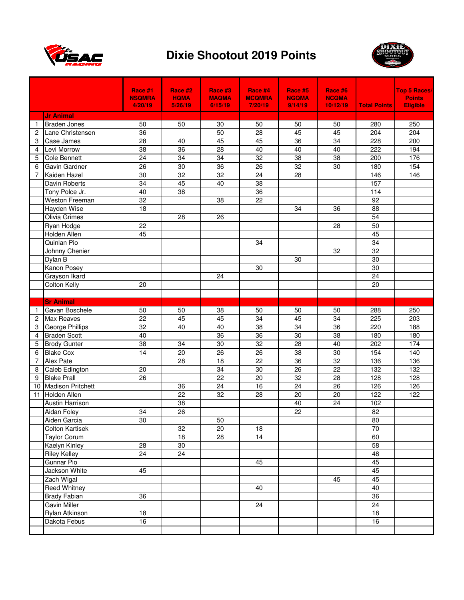



|    |                                         | Race #1                  | Race #2                | Race #3                 | Race #4                  | Race #5                 | Race #6                  |                     | Top 5 Races/                     |
|----|-----------------------------------------|--------------------------|------------------------|-------------------------|--------------------------|-------------------------|--------------------------|---------------------|----------------------------------|
|    |                                         | <b>NSQMRA</b><br>4/20/19 | <b>HQMA</b><br>5/26/19 | <b>MAQMA</b><br>6/15/19 | <b>MCQMRA</b><br>7/20/19 | <b>NGQMA</b><br>9/14/19 | <b>NCQMA</b><br>10/12/19 | <b>Total Points</b> | <b>Points</b><br><b>Eligible</b> |
|    |                                         |                          |                        |                         |                          |                         |                          |                     |                                  |
|    | <b>Jr Animal</b><br><b>Braden Jones</b> |                          |                        |                         |                          |                         |                          |                     |                                  |
| 1  |                                         | 50<br>$\overline{36}$    | 50                     | 30<br>50                | 50<br>$\overline{28}$    | 50<br>45                | 50<br>45                 | 280<br>204          | 250<br>204                       |
| 2  | Lane Christensen                        |                          |                        |                         |                          |                         |                          |                     |                                  |
| 3  | Case James                              | 28                       | 40                     | 45                      | 45                       | $\overline{36}$         | $\overline{34}$          | 228                 | 200                              |
| 4  | Levi Morrow                             | 38                       | 36                     | 28                      | 40                       | 40                      | 40                       | 222                 | 194<br>176                       |
| 5  | <b>Cole Bennett</b>                     | 24                       | 34<br>$\overline{30}$  | 34                      | 32                       | 38                      | 38                       | 200                 | 154                              |
| 6  | Gavin Gardner                           | 26                       |                        | $\overline{36}$         | 26                       | $\overline{32}$         | 30                       | 180                 |                                  |
| 7  | Kaiden Hazel                            | $\overline{30}$          | $\overline{32}$        | $\overline{32}$         | $\overline{24}$          | $\overline{28}$         |                          | 146                 | 146                              |
|    | Davin Roberts                           | $\overline{34}$          | 45                     | 40                      | 38                       |                         |                          | 157                 |                                  |
|    | Tony Polce Jr.                          | 40                       | 38                     |                         | 36                       |                         |                          | 114                 |                                  |
|    | <b>Weston Freeman</b>                   | $\overline{32}$          |                        | 38                      | 22                       |                         |                          | 92                  |                                  |
|    | Hayden Wise                             | 18                       |                        |                         |                          | 34                      | 36                       | $\overline{88}$     |                                  |
|    | Olivia Grimes                           |                          | 28                     | 26                      |                          |                         |                          | 54                  |                                  |
|    | Ryan Hodge                              | 22                       |                        |                         |                          |                         | 28                       | 50                  |                                  |
|    | Holden Allen                            | 45                       |                        |                         |                          |                         |                          | 45                  |                                  |
|    | Quinlan Pio                             |                          |                        |                         | 34                       |                         |                          | 34                  |                                  |
|    | Johnny Chenier                          |                          |                        |                         |                          |                         | 32                       | 32                  |                                  |
|    | Dylan B                                 |                          |                        |                         |                          | 30                      |                          | 30                  |                                  |
|    | Kanon Posey                             |                          |                        |                         | 30                       |                         |                          | $\overline{30}$     |                                  |
|    | Grayson Ikard                           |                          |                        | 24                      |                          |                         |                          | $\overline{24}$     |                                  |
|    | <b>Colton Kelly</b>                     | 20                       |                        |                         |                          |                         |                          | 20                  |                                  |
|    |                                         |                          |                        |                         |                          |                         |                          |                     |                                  |
|    | <b>Sr Animal</b>                        |                          |                        |                         |                          |                         |                          |                     |                                  |
| 1. | Gavan Boschele                          | 50                       | 50                     | 38                      | 50                       | 50                      | 50                       | 288                 | 250                              |
| 2  | <b>Max Reaves</b>                       | 22                       | 45                     | 45                      | 34                       | 45                      | 34                       | 225                 | 203                              |
| 3  | George Phillips                         | 32                       | 40                     | 40                      | 38                       | 34                      | 36                       | 220                 | 188                              |
| 4  | <b>Braden Scott</b>                     | 40                       |                        | $\overline{36}$         | 36                       | 30                      | $\overline{38}$          | 180                 | 180                              |
| 5  | <b>Brody Gunter</b>                     | $\overline{38}$          | 34                     | $\overline{30}$         | $\overline{32}$          | 28                      | 40                       | 202                 | 174                              |
| 6  | <b>Blake Cox</b>                        | $\overline{14}$          | $\overline{20}$        | $\overline{26}$         | $\overline{26}$          | 38                      | 30                       | 154                 | $\frac{140}{140}$                |
| 7  | Alex Pate                               |                          | 28                     | $\overline{18}$         | 22                       | $\overline{36}$         | $\overline{32}$          | 136                 | 136                              |
| 8  | Caleb Edington                          | 20                       |                        | $\overline{34}$         | 30                       | $\overline{26}$         | $\overline{22}$          | $\frac{132}{2}$     | $\frac{132}{2}$                  |
| 9  | <b>Blake Prall</b>                      | 26                       |                        | 22                      | 20                       | $\overline{32}$         | 28                       | 128                 | 128                              |
| 10 | <b>Madison Pritchett</b>                |                          | 36                     | 24                      | 16                       | $\overline{24}$         | 26                       | 126                 | 126                              |
| 11 | Holden Allen                            |                          | 22                     | 32                      | 28                       | 20                      | 20                       | 122                 | 122                              |
|    | <b>Austin Harrison</b>                  |                          | 38                     |                         |                          | 40                      | 24                       | 102                 |                                  |
|    | Aidan Foley                             | 34                       | $\overline{26}$        |                         |                          | $\overline{22}$         |                          | 82                  |                                  |
|    | Aiden Garcia                            | 30                       |                        | 50                      |                          |                         |                          | 80                  |                                  |
|    | <b>Colton Kartisek</b>                  |                          | 32                     | 20                      | 18                       |                         |                          | 70                  |                                  |
|    | <b>Taylor Corum</b>                     |                          | 18                     | 28                      | 14                       |                         |                          | 60                  |                                  |
|    | <b>Kaelyn Kinley</b>                    | 28                       | 30                     |                         |                          |                         |                          | 58                  |                                  |
|    | <b>Riley Kelley</b>                     | $\overline{24}$          | $\overline{24}$        |                         |                          |                         |                          | 48                  |                                  |
|    | Gunnar Pio                              |                          |                        |                         | 45                       |                         |                          | 45                  |                                  |
|    | Jackson White                           | 45                       |                        |                         |                          |                         |                          | 45                  |                                  |
|    | Zach Wigal                              |                          |                        |                         |                          |                         | 45                       | 45                  |                                  |
|    | <b>Reed Whitney</b>                     |                          |                        |                         | 40                       |                         |                          | 40                  |                                  |
|    | <b>Brady Fabian</b>                     | 36                       |                        |                         |                          |                         |                          | 36                  |                                  |
|    | Gavin Miller                            |                          |                        |                         | 24                       |                         |                          | 24                  |                                  |
|    | Rylan Atkinson                          | 18                       |                        |                         |                          |                         |                          | $\overline{18}$     |                                  |
|    | Dakota Febus                            | 16                       |                        |                         |                          |                         |                          | 16                  |                                  |
|    |                                         |                          |                        |                         |                          |                         |                          |                     |                                  |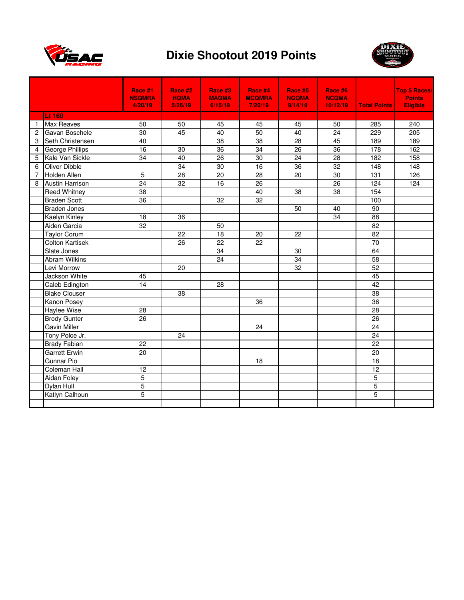



|              |                        | Race #1<br><b>NSQMRA</b><br>4/20/19 | Race #2<br><b>HQMA</b><br>5/26/19 | Race #3<br><b>MAQMA</b><br>6/15/19 | Race #4<br><b>MCQMRA</b><br>7/20/19 | Race #5<br><b>NGQMA</b><br>9/14/19 | Race #6<br><b>NCQMA</b><br>10/12/19 | <b>Total Points</b> | <b>Top 5 Races/</b><br><b>Points</b><br><b>Eligible</b> |
|--------------|------------------------|-------------------------------------|-----------------------------------|------------------------------------|-------------------------------------|------------------------------------|-------------------------------------|---------------------|---------------------------------------------------------|
|              | Lt 160                 |                                     |                                   |                                    |                                     |                                    |                                     |                     |                                                         |
| $\mathbf{1}$ | <b>Max Reaves</b>      | 50                                  | 50                                | 45                                 | 45                                  | 45                                 | 50                                  | 285                 | 240                                                     |
| 2            | Gavan Boschele         | 30                                  | 45                                | 40                                 | 50                                  | 40                                 | 24                                  | 229                 | 205                                                     |
| 3            | Seth Christensen       | 40                                  |                                   | 38                                 | 38                                  | $\overline{28}$                    | 45                                  | 189                 | 189                                                     |
| 4            | George Phillips        | 16                                  | 30                                | $\overline{36}$                    | $\overline{34}$                     | $\overline{26}$                    | 36                                  | 178                 | 162                                                     |
| 5            | Kale Van Sickle        | 34                                  | 40                                | $\overline{26}$                    | 30                                  | 24                                 | $\overline{28}$                     | 182                 | 158                                                     |
| 6            | Oliver Dibble          |                                     | 34                                | 30                                 | 16                                  | 36                                 | 32                                  | 148                 | 148                                                     |
| 7            | Holden Allen           | 5                                   | 28                                | 20                                 | $\overline{28}$                     | $\overline{20}$                    | 30                                  | 131                 | 126                                                     |
| 8            | <b>Austin Harrison</b> | $\overline{24}$                     | 32                                | 16                                 | 26                                  |                                    | 26                                  | 124                 | 124                                                     |
|              | <b>Reed Whitney</b>    | 38                                  |                                   |                                    | 40                                  | 38                                 | 38                                  | 154                 |                                                         |
|              | <b>Braden Scott</b>    | 36                                  |                                   | 32                                 | 32                                  |                                    |                                     | 100                 |                                                         |
|              | <b>Braden Jones</b>    |                                     |                                   |                                    |                                     | 50                                 | 40                                  | 90                  |                                                         |
|              | Kaelyn Kinley          | 18                                  | 36                                |                                    |                                     |                                    | 34                                  | 88                  |                                                         |
|              | Aiden Garcia           | 32                                  |                                   | 50                                 |                                     |                                    |                                     | 82                  |                                                         |
|              | <b>Taylor Corum</b>    |                                     | 22                                | 18                                 | 20                                  | 22                                 |                                     | 82                  |                                                         |
|              | <b>Colton Kartisek</b> |                                     | 26                                | $\overline{22}$                    | 22                                  |                                    |                                     | 70                  |                                                         |
|              | Slate Jones            |                                     |                                   | 34                                 |                                     | 30                                 |                                     | 64                  |                                                         |
|              | <b>Abram Wilkins</b>   |                                     |                                   | 24                                 |                                     | $\overline{34}$                    |                                     | 58                  |                                                         |
|              | Levi Morrow            |                                     | 20                                |                                    |                                     | 32                                 |                                     | 52                  |                                                         |
|              | Jackson White          | 45                                  |                                   |                                    |                                     |                                    |                                     | 45                  |                                                         |
|              | Caleb Edington         | 14                                  |                                   | 28                                 |                                     |                                    |                                     | 42                  |                                                         |
|              | <b>Blake Clouser</b>   |                                     | 38                                |                                    |                                     |                                    |                                     | 38                  |                                                         |
|              | <b>Kanon Posey</b>     |                                     |                                   |                                    | 36                                  |                                    |                                     | $\overline{36}$     |                                                         |
|              | <b>Haylee Wise</b>     | 28                                  |                                   |                                    |                                     |                                    |                                     | 28                  |                                                         |
|              | <b>Brody Gunter</b>    | 26                                  |                                   |                                    |                                     |                                    |                                     | 26                  |                                                         |
|              | <b>Gavin Miller</b>    |                                     |                                   |                                    | 24                                  |                                    |                                     | $\overline{24}$     |                                                         |
|              | Tony Polce Jr.         |                                     | 24                                |                                    |                                     |                                    |                                     | $\overline{24}$     |                                                         |
|              | <b>Brady Fabian</b>    | 22                                  |                                   |                                    |                                     |                                    |                                     | $\overline{22}$     |                                                         |
|              | <b>Garrett Erwin</b>   | 20                                  |                                   |                                    |                                     |                                    |                                     | 20                  |                                                         |
|              | <b>Gunnar Pio</b>      |                                     |                                   |                                    | 18                                  |                                    |                                     | 18                  |                                                         |
|              | <b>Coleman Hall</b>    | 12                                  |                                   |                                    |                                     |                                    |                                     | 12                  |                                                         |
|              | Aidan Foley            | 5                                   |                                   |                                    |                                     |                                    |                                     | $\overline{5}$      |                                                         |
|              | Dylan Hull             | $\overline{5}$                      |                                   |                                    |                                     |                                    |                                     | $\overline{5}$      |                                                         |
|              | Katlyn Calhoun         | $\overline{5}$                      |                                   |                                    |                                     |                                    |                                     | $\overline{5}$      |                                                         |
|              |                        |                                     |                                   |                                    |                                     |                                    |                                     |                     |                                                         |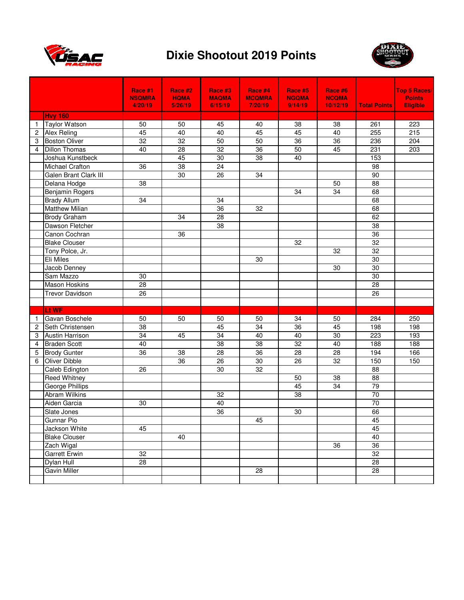



|              |                        | Race #1         | Race #2         | Race #3         | Race #4         | Race #5         | Race #6         |                     | Top 5 Races/    |
|--------------|------------------------|-----------------|-----------------|-----------------|-----------------|-----------------|-----------------|---------------------|-----------------|
|              |                        | <b>NSQMRA</b>   | <b>HQMA</b>     | <b>MAQMA</b>    | <b>MCQMRA</b>   | <b>NGQMA</b>    | <b>NCQMA</b>    |                     | <b>Points</b>   |
|              |                        | 4/20/19         | 5/26/19         | 6/15/19         | 7/20/19         | 9/14/19         | 10/12/19        | <b>Total Points</b> | <b>Eligible</b> |
|              | <b>Hvy 160</b>         |                 |                 |                 |                 |                 |                 |                     |                 |
| $\mathbf{1}$ | <b>Taylor Watson</b>   | 50              | 50              | 45              | 40              | 38              | 38              | 261                 | 223             |
| 2            | <b>Alex Reling</b>     | 45              | 40              | 40              | 45              | 45              | 40              | 255                 | 215             |
| 3            | <b>Boston Oliver</b>   | $\overline{32}$ | $\overline{32}$ | 50              | 50              | $\overline{36}$ | $\overline{36}$ | 236                 | 204             |
| 4            | <b>Dillon Thomas</b>   | 40              | 28              | 32              | 36              | 50              | 45              | 231                 | 203             |
|              | Joshua Kunstbeck       |                 | 45              | 30              | $\overline{38}$ | 40              |                 | 153                 |                 |
|              | <b>Michael Crafton</b> | 36              | $\overline{38}$ | $\overline{24}$ |                 |                 |                 | $\overline{98}$     |                 |
|              | Galen Brant Clark III  |                 | $\overline{30}$ | $\overline{26}$ | $\overline{34}$ |                 |                 | 90                  |                 |
|              | Delana Hodge           | 38              |                 |                 |                 |                 | 50              | 88                  |                 |
|              | Benjamin Rogers        |                 |                 |                 |                 | 34              | $\overline{34}$ | 68                  |                 |
|              | <b>Brady Allum</b>     | 34              |                 | 34              |                 |                 |                 | 68                  |                 |
|              | <b>Matthew Milian</b>  |                 |                 | 36              | 32              |                 |                 | 68                  |                 |
|              | Brody Graham           |                 | 34              | 28              |                 |                 |                 | 62                  |                 |
|              | Dawson Fletcher        |                 |                 | 38              |                 |                 |                 | 38                  |                 |
|              | Canon Cochran          |                 | 36              |                 |                 |                 |                 | 36                  |                 |
|              | <b>Blake Clouser</b>   |                 |                 |                 |                 | 32              |                 | 32                  |                 |
|              | Tony Polce, Jr.        |                 |                 |                 |                 |                 | 32              | 32                  |                 |
|              | Eli Miles              |                 |                 |                 | 30              |                 |                 | 30                  |                 |
|              | Jacob Denney           |                 |                 |                 |                 |                 | 30              | 30                  |                 |
|              | Sam Mazzo              | 30              |                 |                 |                 |                 |                 | $\overline{30}$     |                 |
|              | <b>Mason Hoskins</b>   | 28              |                 |                 |                 |                 |                 | 28                  |                 |
|              | <b>Trevor Davidson</b> | 26              |                 |                 |                 |                 |                 | 26                  |                 |
|              |                        |                 |                 |                 |                 |                 |                 |                     |                 |
|              | Lt WF                  |                 |                 |                 |                 |                 |                 |                     |                 |
| 1            | Gavan Boschele         | 50              | 50              | 50              | 50              | 34              | 50              | 284                 | 250             |
| 2            | Seth Christensen       | 38              |                 | 45              | 34              | 36              | 45              | 198                 | 198             |
| 3            | <b>Austin Harrison</b> | 34              | 45              | 34              | 40              | 40              | 30              | 223                 | 193             |
| 4            | <b>Braden Scott</b>    | 40              |                 | $\overline{38}$ | $\overline{38}$ | 32              | 40              | 188                 | 188             |
| 5            | <b>Brody Gunter</b>    | 36              | 38              | 28              | 36              | 28              | 28              | 194                 | 166             |
| 6            | Oliver Dibble          |                 | 36              | 26              | 30              | 26              | 32              | 150                 | 150             |
|              | Caleb Edington         | $\overline{26}$ |                 | $\overline{30}$ | $\overline{32}$ |                 |                 | $\overline{88}$     |                 |
|              | <b>Reed Whitney</b>    |                 |                 |                 |                 | 50              | 38              | 88                  |                 |
|              | <b>George Phillips</b> |                 |                 |                 |                 | 45              | $\overline{34}$ | 79                  |                 |
|              | Abram Wilkins          |                 |                 | 32              |                 | 38              |                 | $\overline{70}$     |                 |
|              | Aiden Garcia           | 30              |                 | 40              |                 |                 |                 | $\overline{70}$     |                 |
|              | Slate Jones            |                 |                 | $\overline{36}$ |                 | $30\,$          |                 | 66                  |                 |
|              | Gunnar Pio             |                 |                 |                 | 45              |                 |                 | 45                  |                 |
|              | Jackson White          | 45              |                 |                 |                 |                 |                 | 45                  |                 |
|              | <b>Blake Clouser</b>   |                 | 40              |                 |                 |                 |                 | 40                  |                 |
|              | Zach Wigal             |                 |                 |                 |                 |                 | 36              | 36                  |                 |
|              | <b>Garrett Erwin</b>   | $\overline{32}$ |                 |                 |                 |                 |                 | 32                  |                 |
|              | Dylan Hull             | 28              |                 |                 |                 |                 |                 | 28                  |                 |
|              | Gavin Miller           |                 |                 |                 | 28              |                 |                 | 28                  |                 |
|              |                        |                 |                 |                 |                 |                 |                 |                     |                 |